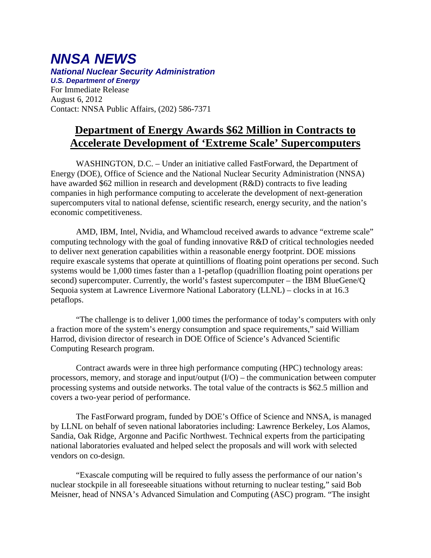## *NNSA NEWS National Nuclear Security Administration U.S. Department of Energy*

For Immediate Release August 6, 2012 Contact: NNSA Public Affairs, (202) 586-7371

## **Department of Energy Awards \$62 Million in Contracts to Accelerate Development of 'Extreme Scale' Supercomputers**

WASHINGTON, D.C. – Under an initiative called FastForward, the Department of Energy (DOE), Office of Science and the National Nuclear Security Administration (NNSA) have awarded \$62 million in research and development (R&D) contracts to five leading companies in high performance computing to accelerate the development of next-generation supercomputers vital to national defense, scientific research, energy security, and the nation's economic competitiveness.

AMD, IBM, Intel, Nvidia, and Whamcloud received awards to advance "extreme scale" computing technology with the goal of funding innovative R&D of critical technologies needed to deliver next generation capabilities within a reasonable energy footprint. DOE missions require exascale systems that operate at quintillions of floating point operations per second. Such systems would be 1,000 times faster than a 1-petaflop (quadrillion floating point operations per second) supercomputer. Currently, the world's fastest supercomputer – the IBM BlueGene/Q Sequoia system at Lawrence Livermore National Laboratory (LLNL) – clocks in at 16.3 petaflops.

"The challenge is to deliver 1,000 times the performance of today's computers with only a fraction more of the system's energy consumption and space requirements," said William Harrod, division director of research in DOE Office of Science's Advanced Scientific Computing Research program.

Contract awards were in three high performance computing (HPC) technology areas: processors, memory, and storage and input/output (I/O) – the communication between computer processing systems and outside networks. The total value of the contracts is \$62.5 million and covers a two-year period of performance.

The FastForward program, funded by DOE's Office of Science and NNSA, is managed by LLNL on behalf of seven national laboratories including: Lawrence Berkeley, Los Alamos, Sandia, Oak Ridge, Argonne and Pacific Northwest. Technical experts from the participating national laboratories evaluated and helped select the proposals and will work with selected vendors on co-design.

"Exascale computing will be required to fully assess the performance of our nation's nuclear stockpile in all foreseeable situations without returning to nuclear testing," said Bob Meisner, head of NNSA's Advanced Simulation and Computing (ASC) program. "The insight